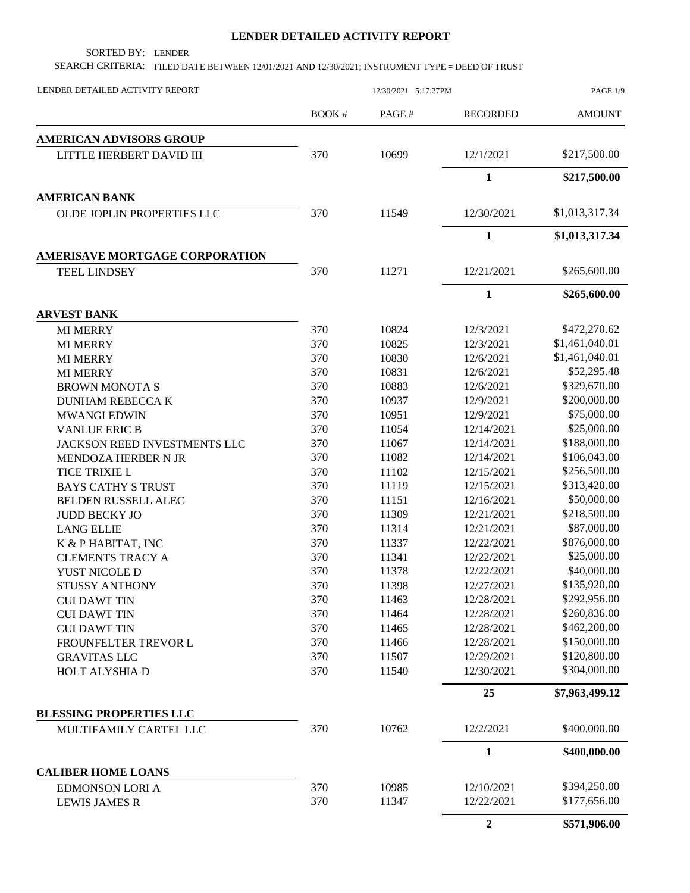## **LENDER DETAILED ACTIVITY REPORT**

SORTED BY: LENDER

SEARCH CRITERIA: FILED DATE BETWEEN 12/01/2021 AND 12/30/2021; INSTRUMENT TYPE = DEED OF TRUST

| LENDER DETAILED ACTIVITY REPORT       | 12/30/2021 5:17:27PM |       |                 | PAGE 1/9       |  |
|---------------------------------------|----------------------|-------|-----------------|----------------|--|
|                                       | BOOK#                | PAGE# | <b>RECORDED</b> | <b>AMOUNT</b>  |  |
| <b>AMERICAN ADVISORS GROUP</b>        |                      |       |                 |                |  |
| LITTLE HERBERT DAVID III              | 370                  | 10699 | 12/1/2021       | \$217,500.00   |  |
|                                       |                      |       | $\mathbf{1}$    | \$217,500.00   |  |
| <b>AMERICAN BANK</b>                  |                      |       |                 |                |  |
| OLDE JOPLIN PROPERTIES LLC            | 370                  | 11549 | 12/30/2021      | \$1,013,317.34 |  |
|                                       |                      |       | $\mathbf{1}$    | \$1,013,317.34 |  |
| <b>AMERISAVE MORTGAGE CORPORATION</b> |                      |       |                 |                |  |
| <b>TEEL LINDSEY</b>                   | 370                  | 11271 | 12/21/2021      | \$265,600.00   |  |
|                                       |                      |       | $\mathbf{1}$    | \$265,600.00   |  |
| <b>ARVEST BANK</b>                    |                      |       |                 |                |  |
| <b>MI MERRY</b>                       | 370                  | 10824 | 12/3/2021       | \$472,270.62   |  |
| <b>MI MERRY</b>                       | 370                  | 10825 | 12/3/2021       | \$1,461,040.01 |  |
| <b>MI MERRY</b>                       | 370                  | 10830 | 12/6/2021       | \$1,461,040.01 |  |
| <b>MI MERRY</b>                       | 370                  | 10831 | 12/6/2021       | \$52,295.48    |  |
| <b>BROWN MONOTA S</b>                 | 370                  | 10883 | 12/6/2021       | \$329,670.00   |  |
| <b>DUNHAM REBECCA K</b>               | 370                  | 10937 | 12/9/2021       | \$200,000.00   |  |
| <b>MWANGI EDWIN</b>                   | 370                  | 10951 | 12/9/2021       | \$75,000.00    |  |
| <b>VANLUE ERIC B</b>                  | 370                  | 11054 | 12/14/2021      | \$25,000.00    |  |
| JACKSON REED INVESTMENTS LLC          | 370                  | 11067 | 12/14/2021      | \$188,000.00   |  |
| MENDOZA HERBER N JR                   | 370                  | 11082 | 12/14/2021      | \$106,043.00   |  |
| TICE TRIXIE L                         | 370                  | 11102 | 12/15/2021      | \$256,500.00   |  |
| <b>BAYS CATHY S TRUST</b>             | 370                  | 11119 | 12/15/2021      | \$313,420.00   |  |
| BELDEN RUSSELL ALEC                   | 370                  | 11151 | 12/16/2021      | \$50,000.00    |  |
| JUDD BECKY JO                         | 370                  | 11309 | 12/21/2021      | \$218,500.00   |  |
| <b>LANG ELLIE</b>                     | 370                  | 11314 | 12/21/2021      | \$87,000.00    |  |
| K & P HABITAT, INC                    | 370                  | 11337 | 12/22/2021      | \$876,000.00   |  |
| <b>CLEMENTS TRACY A</b>               | 370                  | 11341 | 12/22/2021      | \$25,000.00    |  |
| YUST NICOLE D                         | 370                  | 11378 | 12/22/2021      | \$40,000.00    |  |
| STUSSY ANTHONY                        | 370                  | 11398 | 12/27/2021      | \$135,920.00   |  |
| <b>CUI DAWT TIN</b>                   | 370                  | 11463 | 12/28/2021      | \$292,956.00   |  |
| <b>CUI DAWT TIN</b>                   | 370                  | 11464 | 12/28/2021      | \$260,836.00   |  |
| <b>CUI DAWT TIN</b>                   | 370                  | 11465 | 12/28/2021      | \$462,208.00   |  |
| FROUNFELTER TREVOR L                  | 370                  | 11466 | 12/28/2021      | \$150,000.00   |  |
| <b>GRAVITAS LLC</b>                   | 370                  | 11507 | 12/29/2021      | \$120,800.00   |  |
| HOLT ALYSHIA D                        | 370                  | 11540 | 12/30/2021      | \$304,000.00   |  |
|                                       |                      |       | 25              | \$7,963,499.12 |  |
| <b>BLESSING PROPERTIES LLC</b>        |                      |       |                 |                |  |
| MULTIFAMILY CARTEL LLC                | 370                  | 10762 | 12/2/2021       | \$400,000.00   |  |
|                                       |                      |       | $\mathbf{1}$    | \$400,000.00   |  |
| <b>CALIBER HOME LOANS</b>             |                      |       |                 |                |  |
| <b>EDMONSON LORI A</b>                | 370                  | 10985 | 12/10/2021      | \$394,250.00   |  |
| <b>LEWIS JAMES R</b>                  | 370                  | 11347 | 12/22/2021      | \$177,656.00   |  |
|                                       |                      |       | $\overline{2}$  | \$571,906.00   |  |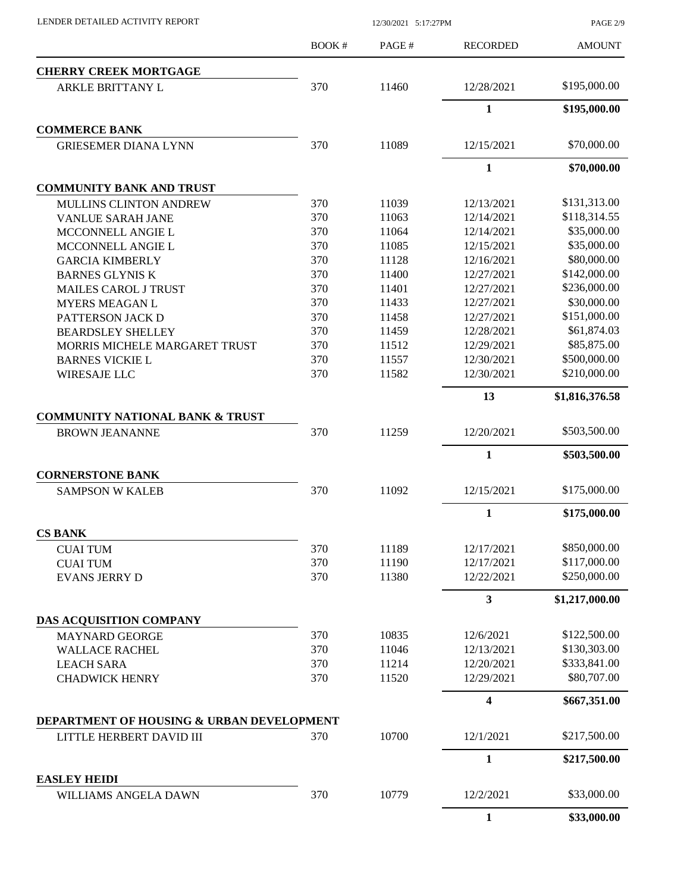|                                                                                  | <b>BOOK#</b> | PAGE# | <b>RECORDED</b>         | <b>AMOUNT</b>  |
|----------------------------------------------------------------------------------|--------------|-------|-------------------------|----------------|
| <b>CHERRY CREEK MORTGAGE</b>                                                     |              |       |                         |                |
| ARKLE BRITTANY L                                                                 | 370          | 11460 | 12/28/2021              | \$195,000.00   |
|                                                                                  |              |       | $\mathbf{1}$            | \$195,000.00   |
| <b>COMMERCE BANK</b>                                                             |              |       |                         |                |
| <b>GRIESEMER DIANA LYNN</b>                                                      | 370          | 11089 | 12/15/2021              | \$70,000.00    |
|                                                                                  |              |       | 1                       | \$70,000.00    |
| <b>COMMUNITY BANK AND TRUST</b>                                                  |              |       |                         |                |
| MULLINS CLINTON ANDREW                                                           | 370          | 11039 | 12/13/2021              | \$131,313.00   |
| VANLUE SARAH JANE                                                                | 370          | 11063 | 12/14/2021              | \$118,314.55   |
| MCCONNELL ANGIE L                                                                | 370          | 11064 | 12/14/2021              | \$35,000.00    |
| MCCONNELL ANGIE L                                                                | 370          | 11085 | 12/15/2021              | \$35,000.00    |
| <b>GARCIA KIMBERLY</b>                                                           | 370          | 11128 | 12/16/2021              | \$80,000.00    |
| <b>BARNES GLYNIS K</b>                                                           | 370          | 11400 | 12/27/2021              | \$142,000.00   |
| <b>MAILES CAROL J TRUST</b>                                                      | 370          | 11401 | 12/27/2021              | \$236,000.00   |
| <b>MYERS MEAGAN L</b>                                                            | 370          | 11433 | 12/27/2021              | \$30,000.00    |
| PATTERSON JACK D                                                                 | 370          | 11458 | 12/27/2021              | \$151,000.00   |
| <b>BEARDSLEY SHELLEY</b>                                                         | 370          | 11459 | 12/28/2021              | \$61,874.03    |
| MORRIS MICHELE MARGARET TRUST                                                    | 370          | 11512 | 12/29/2021              | \$85,875.00    |
| <b>BARNES VICKIE L</b>                                                           | 370          | 11557 | 12/30/2021              | \$500,000.00   |
| <b>WIRESAJE LLC</b>                                                              | 370          | 11582 | 12/30/2021              | \$210,000.00   |
|                                                                                  |              |       | 13                      | \$1,816,376.58 |
| <b>COMMUNITY NATIONAL BANK &amp; TRUST</b>                                       |              |       |                         |                |
| <b>BROWN JEANANNE</b>                                                            | 370          | 11259 | 12/20/2021              | \$503,500.00   |
|                                                                                  |              |       | $\mathbf{1}$            | \$503,500.00   |
| <b>CORNERSTONE BANK</b>                                                          |              |       |                         |                |
| <b>SAMPSON W KALEB</b>                                                           | 370          | 11092 | 12/15/2021              | \$175,000.00   |
|                                                                                  |              |       | $\mathbf{1}$            | \$175,000.00   |
| <b>CS BANK</b>                                                                   |              |       |                         |                |
| <b>CUAI TUM</b>                                                                  | 370          | 11189 | 12/17/2021              | \$850,000.00   |
| <b>CUAI TUM</b>                                                                  | 370          | 11190 | 12/17/2021              | \$117,000.00   |
| <b>EVANS JERRY D</b>                                                             | 370          | 11380 | 12/22/2021              | \$250,000.00   |
|                                                                                  |              |       | 3                       | \$1,217,000.00 |
| DAS ACQUISITION COMPANY                                                          |              |       |                         |                |
| <b>MAYNARD GEORGE</b>                                                            | 370          | 10835 | 12/6/2021               | \$122,500.00   |
| <b>WALLACE RACHEL</b>                                                            | 370          | 11046 | 12/13/2021              | \$130,303.00   |
| <b>LEACH SARA</b>                                                                | 370          | 11214 | 12/20/2021              | \$333,841.00   |
| <b>CHADWICK HENRY</b>                                                            | 370          | 11520 | 12/29/2021              | \$80,707.00    |
|                                                                                  |              |       | $\overline{\mathbf{4}}$ | \$667,351.00   |
| <b>DEPARTMENT OF HOUSING &amp; URBAN DEVELOPMENT</b><br>LITTLE HERBERT DAVID III | 370          | 10700 | 12/1/2021               | \$217,500.00   |
|                                                                                  |              |       |                         |                |
| <b>EASLEY HEIDI</b>                                                              |              |       | $\mathbf{1}$            | \$217,500.00   |
| WILLIAMS ANGELA DAWN                                                             | 370          | 10779 | 12/2/2021               | \$33,000.00    |
|                                                                                  |              |       | 1                       | \$33,000.00    |

LENDER DETAILED ACTIVITY REPORT 12/30/2021 5:17:27PM

PAGE 2/9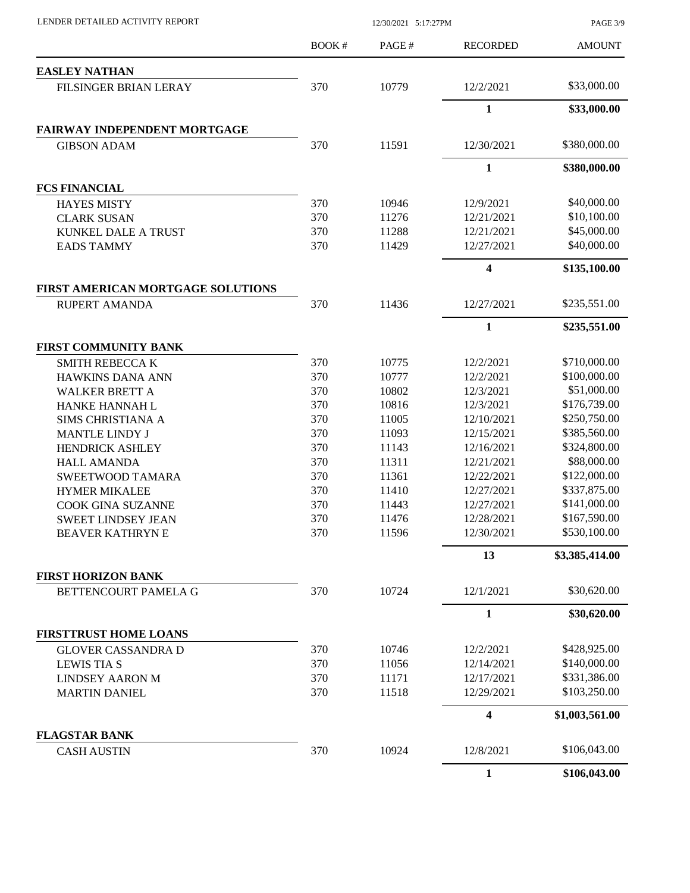| LENDER DETAILED ACTIVITY REPORT                   | 12/30/2021 5:17:27PM |       |                 | PAGE 3/9       |
|---------------------------------------------------|----------------------|-------|-----------------|----------------|
|                                                   | <b>BOOK#</b>         | PAGE# | <b>RECORDED</b> | <b>AMOUNT</b>  |
| <b>EASLEY NATHAN</b>                              |                      |       |                 |                |
| FILSINGER BRIAN LERAY                             | 370                  | 10779 | 12/2/2021       | \$33,000.00    |
|                                                   |                      |       | $\mathbf{1}$    | \$33,000.00    |
| FAIRWAY INDEPENDENT MORTGAGE                      |                      |       |                 |                |
| <b>GIBSON ADAM</b>                                | 370                  | 11591 | 12/30/2021      | \$380,000.00   |
|                                                   |                      |       | $\mathbf{1}$    | \$380,000.00   |
| <b>FCS FINANCIAL</b>                              |                      |       |                 |                |
| <b>HAYES MISTY</b>                                | 370                  | 10946 | 12/9/2021       | \$40,000.00    |
| <b>CLARK SUSAN</b>                                | 370                  | 11276 | 12/21/2021      | \$10,100.00    |
| <b>KUNKEL DALE A TRUST</b>                        | 370                  | 11288 | 12/21/2021      | \$45,000.00    |
| <b>EADS TAMMY</b>                                 | 370                  | 11429 | 12/27/2021      | \$40,000.00    |
|                                                   |                      |       | 4               | \$135,100.00   |
| FIRST AMERICAN MORTGAGE SOLUTIONS                 | 370                  | 11436 | 12/27/2021      | \$235,551.00   |
| <b>RUPERT AMANDA</b>                              |                      |       |                 |                |
|                                                   |                      |       | $\mathbf{1}$    | \$235,551.00   |
| FIRST COMMUNITY BANK                              |                      |       |                 |                |
| <b>SMITH REBECCA K</b>                            | 370                  | 10775 | 12/2/2021       | \$710,000.00   |
| <b>HAWKINS DANA ANN</b>                           | 370                  | 10777 | 12/2/2021       | \$100,000.00   |
| <b>WALKER BRETT A</b>                             | 370                  | 10802 | 12/3/2021       | \$51,000.00    |
| HANKE HANNAH L                                    | 370                  | 10816 | 12/3/2021       | \$176,739.00   |
| <b>SIMS CHRISTIANA A</b>                          | 370                  | 11005 | 12/10/2021      | \$250,750.00   |
| <b>MANTLE LINDY J</b>                             | 370                  | 11093 | 12/15/2021      | \$385,560.00   |
| <b>HENDRICK ASHLEY</b>                            | 370                  | 11143 | 12/16/2021      | \$324,800.00   |
| <b>HALL AMANDA</b>                                | 370                  | 11311 | 12/21/2021      | \$88,000.00    |
| SWEETWOOD TAMARA                                  | 370                  | 11361 | 12/22/2021      | \$122,000.00   |
| <b>HYMER MIKALEE</b>                              | 370                  | 11410 | 12/27/2021      | \$337,875.00   |
| COOK GINA SUZANNE                                 | 370                  | 11443 | 12/27/2021      | \$141,000.00   |
| <b>SWEET LINDSEY JEAN</b>                         | 370                  | 11476 | 12/28/2021      | \$167,590,00   |
| <b>BEAVER KATHRYN E</b>                           | 370                  | 11596 | 12/30/2021      | \$530,100.00   |
|                                                   |                      |       | 13              | \$3,385,414.00 |
| <b>FIRST HORIZON BANK</b><br>BETTENCOURT PAMELA G | 370                  | 10724 | 12/1/2021       | \$30,620.00    |
|                                                   |                      |       | 1               | \$30,620.00    |
| <b>FIRSTTRUST HOME LOANS</b>                      |                      |       |                 |                |
| <b>GLOVER CASSANDRA D</b>                         | 370                  | 10746 | 12/2/2021       | \$428,925.00   |
| <b>LEWIS TIA S</b>                                | 370                  | 11056 | 12/14/2021      | \$140,000.00   |
| <b>LINDSEY AARON M</b>                            | 370                  | 11171 | 12/17/2021      | \$331,386.00   |
| <b>MARTIN DANIEL</b>                              | 370                  | 11518 | 12/29/2021      | \$103,250.00   |
|                                                   |                      |       | 4               | \$1,003,561.00 |
| <b>FLAGSTAR BANK</b>                              |                      |       |                 |                |
| <b>CASH AUSTIN</b>                                | 370                  | 10924 | 12/8/2021       | \$106,043.00   |
|                                                   |                      |       | $\mathbf{1}$    | \$106,043.00   |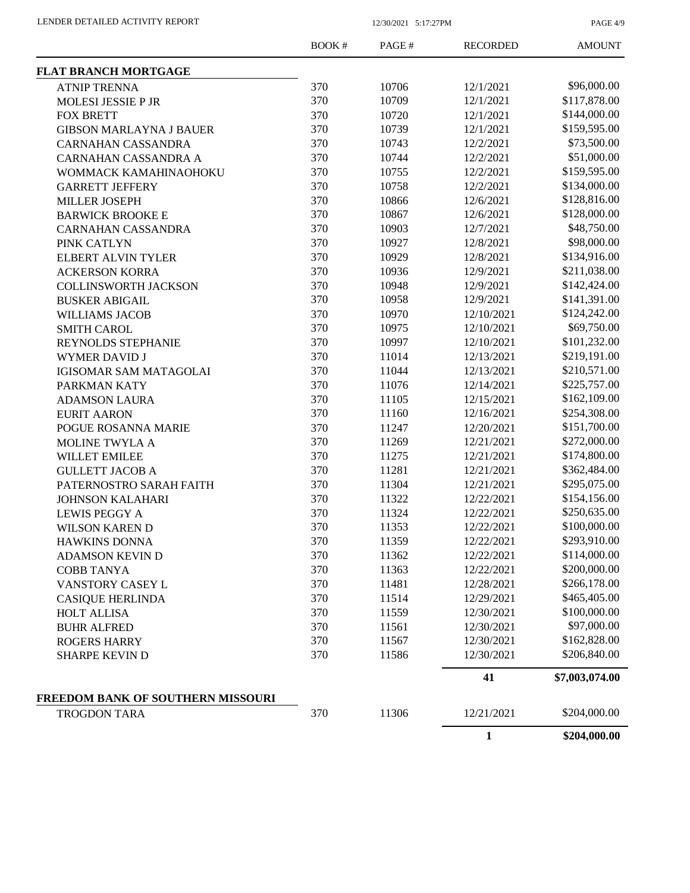| LENDER DETAILED ACTIVITY REPORT |  |
|---------------------------------|--|
|                                 |  |

12/30/2021 5:17:27PM

PAGE 4/9

|                                   | <b>BOOK#</b> | PAGE# | <b>RECORDED</b> | <b>AMOUNT</b>  |
|-----------------------------------|--------------|-------|-----------------|----------------|
| <b>FLAT BRANCH MORTGAGE</b>       |              |       |                 |                |
| <b>ATNIP TRENNA</b>               | 370          | 10706 | 12/1/2021       | \$96,000.00    |
| MOLESI JESSIE P JR                | 370          | 10709 | 12/1/2021       | \$117,878.00   |
| <b>FOX BRETT</b>                  | 370          | 10720 | 12/1/2021       | \$144,000.00   |
| <b>GIBSON MARLAYNA J BAUER</b>    | 370          | 10739 | 12/1/2021       | \$159,595.00   |
| <b>CARNAHAN CASSANDRA</b>         | 370          | 10743 | 12/2/2021       | \$73,500.00    |
| CARNAHAN CASSANDRA A              | 370          | 10744 | 12/2/2021       | \$51,000.00    |
| WOMMACK KAMAHINAOHOKU             | 370          | 10755 | 12/2/2021       | \$159,595.00   |
| <b>GARRETT JEFFERY</b>            | 370          | 10758 | 12/2/2021       | \$134,000.00   |
| <b>MILLER JOSEPH</b>              | 370          | 10866 | 12/6/2021       | \$128,816.00   |
| <b>BARWICK BROOKE E</b>           | 370          | 10867 | 12/6/2021       | \$128,000.00   |
| CARNAHAN CASSANDRA                | 370          | 10903 | 12/7/2021       | \$48,750.00    |
| PINK CATLYN                       | 370          | 10927 | 12/8/2021       | \$98,000.00    |
| <b>ELBERT ALVIN TYLER</b>         | 370          | 10929 | 12/8/2021       | \$134,916.00   |
| <b>ACKERSON KORRA</b>             | 370          | 10936 | 12/9/2021       | \$211,038.00   |
| <b>COLLINSWORTH JACKSON</b>       | 370          | 10948 | 12/9/2021       | \$142,424.00   |
| <b>BUSKER ABIGAIL</b>             | 370          | 10958 | 12/9/2021       | \$141,391.00   |
| <b>WILLIAMS JACOB</b>             | 370          | 10970 | 12/10/2021      | \$124,242.00   |
| <b>SMITH CAROL</b>                | 370          | 10975 | 12/10/2021      | \$69,750.00    |
| REYNOLDS STEPHANIE                | 370          | 10997 | 12/10/2021      | \$101,232.00   |
| <b>WYMER DAVID J</b>              | 370          | 11014 | 12/13/2021      | \$219,191.00   |
| <b>IGISOMAR SAM MATAGOLAI</b>     | 370          | 11044 | 12/13/2021      | \$210,571.00   |
| PARKMAN KATY                      | 370          | 11076 | 12/14/2021      | \$225,757.00   |
| <b>ADAMSON LAURA</b>              | 370          | 11105 | 12/15/2021      | \$162,109.00   |
| <b>EURIT AARON</b>                | 370          | 11160 | 12/16/2021      | \$254,308.00   |
| POGUE ROSANNA MARIE               | 370          | 11247 | 12/20/2021      | \$151,700.00   |
| MOLINE TWYLA A                    | 370          | 11269 | 12/21/2021      | \$272,000.00   |
| WILLET EMILEE                     | 370          | 11275 | 12/21/2021      | \$174,800.00   |
| <b>GULLETT JACOB A</b>            | 370          | 11281 | 12/21/2021      | \$362,484.00   |
| PATERNOSTRO SARAH FAITH           | 370          | 11304 | 12/21/2021      | \$295,075.00   |
| <b>JOHNSON KALAHARI</b>           | 370          | 11322 | 12/22/2021      | \$154,156.00   |
| <b>LEWIS PEGGY A</b>              | 370          | 11324 | 12/22/2021      | \$250,635.00   |
| <b>WILSON KAREN D</b>             | 370          | 11353 | 12/22/2021      | \$100,000.00   |
| <b>HAWKINS DONNA</b>              | 370          | 11359 | 12/22/2021      | \$293,910.00   |
| <b>ADAMSON KEVIN D</b>            | 370          | 11362 | 12/22/2021      | \$114,000.00   |
| <b>COBB TANYA</b>                 | 370          | 11363 | 12/22/2021      | \$200,000.00   |
| VANSTORY CASEY L                  | 370          | 11481 | 12/28/2021      | \$266,178.00   |
| <b>CASIQUE HERLINDA</b>           | 370          | 11514 | 12/29/2021      | \$465,405.00   |
| <b>HOLT ALLISA</b>                | 370          | 11559 | 12/30/2021      | \$100,000.00   |
| <b>BUHR ALFRED</b>                | 370          | 11561 | 12/30/2021      | \$97,000.00    |
| <b>ROGERS HARRY</b>               | 370          | 11567 | 12/30/2021      | \$162,828.00   |
| <b>SHARPE KEVIN D</b>             | 370          | 11586 | 12/30/2021      | \$206,840.00   |
|                                   |              |       | 41              | \$7,003,074.00 |
| FREEDOM BANK OF SOUTHERN MISSOURI |              |       |                 |                |
| <b>TROGDON TARA</b>               | 370          | 11306 | 12/21/2021      | \$204,000.00   |
|                                   |              |       | 1               | \$204,000.00   |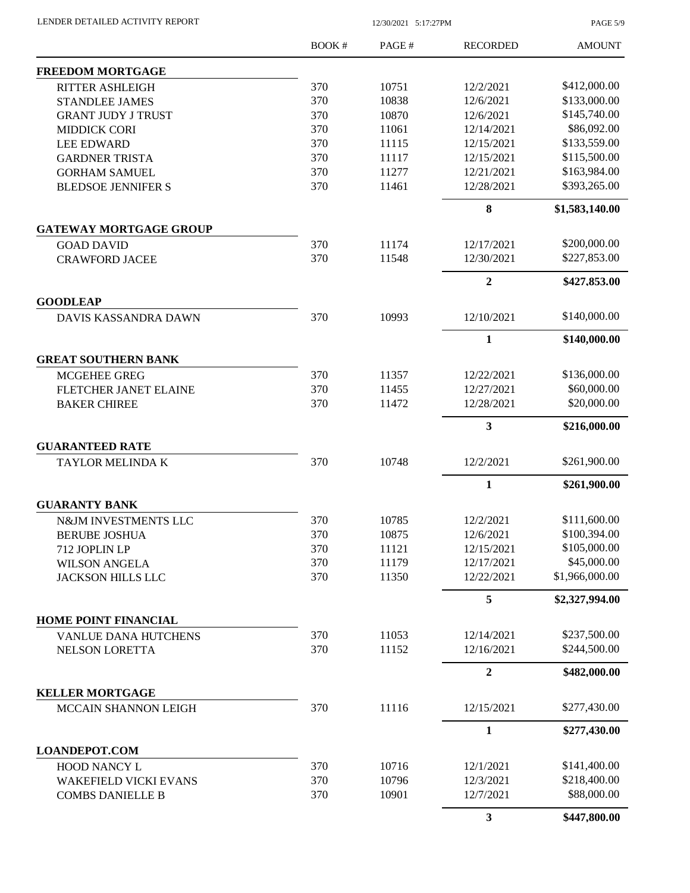| LENDER DETAILED ACTIVITY REPORT | 12/30/2021 5:17:27PM |       |                         | PAGE 5/9       |  |
|---------------------------------|----------------------|-------|-------------------------|----------------|--|
|                                 | <b>BOOK#</b>         | PAGE# | <b>RECORDED</b>         | <b>AMOUNT</b>  |  |
| <b>FREEDOM MORTGAGE</b>         |                      |       |                         |                |  |
| <b>RITTER ASHLEIGH</b>          | 370                  | 10751 | 12/2/2021               | \$412,000.00   |  |
| <b>STANDLEE JAMES</b>           | 370                  | 10838 | 12/6/2021               | \$133,000.00   |  |
| <b>GRANT JUDY J TRUST</b>       | 370                  | 10870 | 12/6/2021               | \$145,740.00   |  |
| <b>MIDDICK CORI</b>             | 370                  | 11061 | 12/14/2021              | \$86,092.00    |  |
| <b>LEE EDWARD</b>               | 370                  | 11115 | 12/15/2021              | \$133,559.00   |  |
| <b>GARDNER TRISTA</b>           | 370                  | 11117 | 12/15/2021              | \$115,500.00   |  |
| <b>GORHAM SAMUEL</b>            | 370                  | 11277 | 12/21/2021              | \$163,984.00   |  |
| <b>BLEDSOE JENNIFER S</b>       | 370                  | 11461 | 12/28/2021              | \$393,265.00   |  |
|                                 |                      |       | 8                       | \$1,583,140.00 |  |
| <b>GATEWAY MORTGAGE GROUP</b>   |                      |       |                         |                |  |
| <b>GOAD DAVID</b>               | 370                  | 11174 | 12/17/2021              | \$200,000.00   |  |
| <b>CRAWFORD JACEE</b>           | 370                  | 11548 | 12/30/2021              | \$227,853.00   |  |
|                                 |                      |       | $\overline{2}$          | \$427,853.00   |  |
| <b>GOODLEAP</b>                 |                      |       |                         |                |  |
| DAVIS KASSANDRA DAWN            | 370                  | 10993 | 12/10/2021              | \$140,000.00   |  |
|                                 |                      |       | $\mathbf{1}$            | \$140,000.00   |  |
| <b>GREAT SOUTHERN BANK</b>      |                      |       |                         |                |  |
| <b>MCGEHEE GREG</b>             | 370                  | 11357 | 12/22/2021              | \$136,000.00   |  |
| FLETCHER JANET ELAINE           | 370                  | 11455 | 12/27/2021              | \$60,000.00    |  |
| <b>BAKER CHIREE</b>             | 370                  | 11472 | 12/28/2021              | \$20,000.00    |  |
|                                 |                      |       | $\overline{\mathbf{3}}$ | \$216,000.00   |  |
| <b>GUARANTEED RATE</b>          |                      |       |                         |                |  |
| TAYLOR MELINDA K                | 370                  | 10748 | 12/2/2021               | \$261,900.00   |  |
|                                 |                      |       | $\mathbf{1}$            | \$261,900.00   |  |
| <b>GUARANTY BANK</b>            |                      |       |                         |                |  |
| N&JM INVESTMENTS LLC            | 370                  | 10785 | 12/2/2021               | \$111,600.00   |  |
| <b>BERUBE JOSHUA</b>            | 370                  | 10875 | 12/6/2021               | \$100,394.00   |  |
| 712 JOPLIN LP                   | 370                  | 11121 | 12/15/2021              | \$105,000.00   |  |
| <b>WILSON ANGELA</b>            | 370                  | 11179 | 12/17/2021              | \$45,000.00    |  |
| <b>JACKSON HILLS LLC</b>        | 370                  | 11350 | 12/22/2021              | \$1,966,000.00 |  |
|                                 |                      |       | 5                       | \$2,327,994.00 |  |
| <b>HOME POINT FINANCIAL</b>     |                      |       |                         |                |  |
| <b>VANLUE DANA HUTCHENS</b>     | 370                  | 11053 | 12/14/2021              | \$237,500.00   |  |
| NELSON LORETTA                  | 370                  | 11152 | 12/16/2021              | \$244,500.00   |  |
|                                 |                      |       | $\overline{2}$          | \$482,000.00   |  |
| <b>KELLER MORTGAGE</b>          |                      |       |                         |                |  |
| MCCAIN SHANNON LEIGH            | 370                  | 11116 | 12/15/2021              | \$277,430.00   |  |
|                                 |                      |       | $\mathbf{1}$            | \$277,430.00   |  |
| <b>LOANDEPOT.COM</b>            |                      |       |                         |                |  |
| HOOD NANCY L                    | 370                  | 10716 | 12/1/2021               | \$141,400.00   |  |
| <b>WAKEFIELD VICKI EVANS</b>    | 370                  | 10796 | 12/3/2021               | \$218,400.00   |  |
| <b>COMBS DANIELLE B</b>         | 370                  | 10901 | 12/7/2021               | \$88,000.00    |  |

**3 \$447,800.00**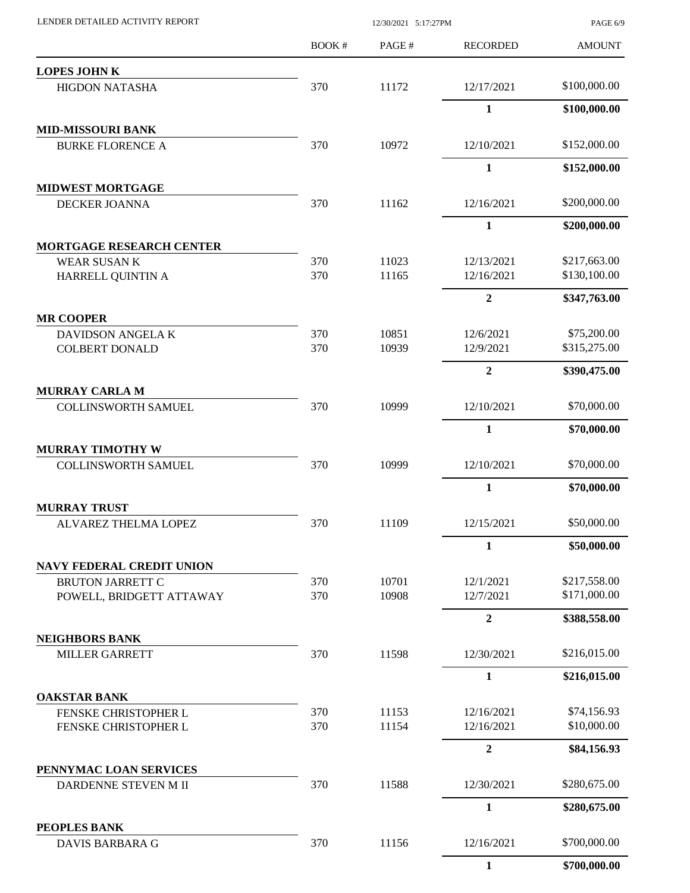| LENDER DETAILED ACTIVITY REPORT                  |       | PAGE 6/9 |                 |               |
|--------------------------------------------------|-------|----------|-----------------|---------------|
|                                                  | BOOK# | PAGE#    | <b>RECORDED</b> | <b>AMOUNT</b> |
| <b>LOPES JOHN K</b>                              |       |          |                 |               |
| <b>HIGDON NATASHA</b>                            | 370   | 11172    | 12/17/2021      | \$100,000.00  |
|                                                  |       |          | $\mathbf{1}$    | \$100,000.00  |
| <b>MID-MISSOURI BANK</b>                         | 370   | 10972    | 12/10/2021      | \$152,000.00  |
| <b>BURKE FLORENCE A</b>                          |       |          |                 |               |
|                                                  |       |          | $\mathbf{1}$    | \$152,000.00  |
| <b>MIDWEST MORTGAGE</b><br>DECKER JOANNA         | 370   | 11162    | 12/16/2021      | \$200,000.00  |
|                                                  |       |          | $\mathbf{1}$    | \$200,000.00  |
| <b>MORTGAGE RESEARCH CENTER</b>                  |       |          |                 |               |
| <b>WEAR SUSAN K</b>                              | 370   | 11023    | 12/13/2021      | \$217,663.00  |
| HARRELL QUINTIN A                                | 370   | 11165    | 12/16/2021      | \$130,100.00  |
|                                                  |       |          | $\overline{2}$  | \$347,763.00  |
| <b>MR COOPER</b>                                 | 370   | 10851    | 12/6/2021       | \$75,200.00   |
| <b>DAVIDSON ANGELAK</b><br><b>COLBERT DONALD</b> | 370   | 10939    | 12/9/2021       | \$315,275.00  |
|                                                  |       |          | $\overline{2}$  | \$390,475.00  |
| <b>MURRAY CARLA M</b>                            |       |          |                 |               |
| <b>COLLINSWORTH SAMUEL</b>                       | 370   | 10999    | 12/10/2021      | \$70,000.00   |
|                                                  |       |          | $\mathbf{1}$    | \$70,000.00   |
| <b>MURRAY TIMOTHY W</b>                          | 370   | 10999    | 12/10/2021      | \$70,000.00   |
| <b>COLLINSWORTH SAMUEL</b>                       |       |          |                 |               |
| <b>MURRAY TRUST</b>                              |       |          | $\mathbf{1}$    | \$70,000.00   |
| ALVAREZ THELMA LOPEZ                             | 370   | 11109    | 12/15/2021      | \$50,000.00   |
|                                                  |       |          | $\mathbf{1}$    | \$50,000.00   |
| <b>NAVY FEDERAL CREDIT UNION</b>                 |       |          |                 |               |
| <b>BRUTON JARRETT C</b>                          | 370   | 10701    | 12/1/2021       | \$217,558.00  |
| POWELL, BRIDGETT ATTAWAY                         | 370   | 10908    | 12/7/2021       | \$171,000.00  |
|                                                  |       |          | $\overline{2}$  | \$388,558.00  |
| <b>NEIGHBORS BANK</b>                            |       |          |                 |               |
| <b>MILLER GARRETT</b>                            | 370   | 11598    | 12/30/2021      | \$216,015.00  |
|                                                  |       |          | $\mathbf{1}$    | \$216,015.00  |
| <b>OAKSTAR BANK</b><br>FENSKE CHRISTOPHER L      | 370   | 11153    | 12/16/2021      | \$74,156.93   |
| FENSKE CHRISTOPHER L                             | 370   | 11154    | 12/16/2021      | \$10,000.00   |
|                                                  |       |          | $\overline{2}$  | \$84,156.93   |
| PENNYMAC LOAN SERVICES                           |       |          |                 |               |
| DARDENNE STEVEN M II                             | 370   | 11588    | 12/30/2021      | \$280,675.00  |
|                                                  |       |          | $\mathbf{1}$    | \$280,675.00  |
| PEOPLES BANK                                     |       | 11156    | 12/16/2021      | \$700,000.00  |
| <b>DAVIS BARBARA G</b>                           | 370   |          |                 |               |
|                                                  |       |          | $\mathbf{1}$    | \$700,000.00  |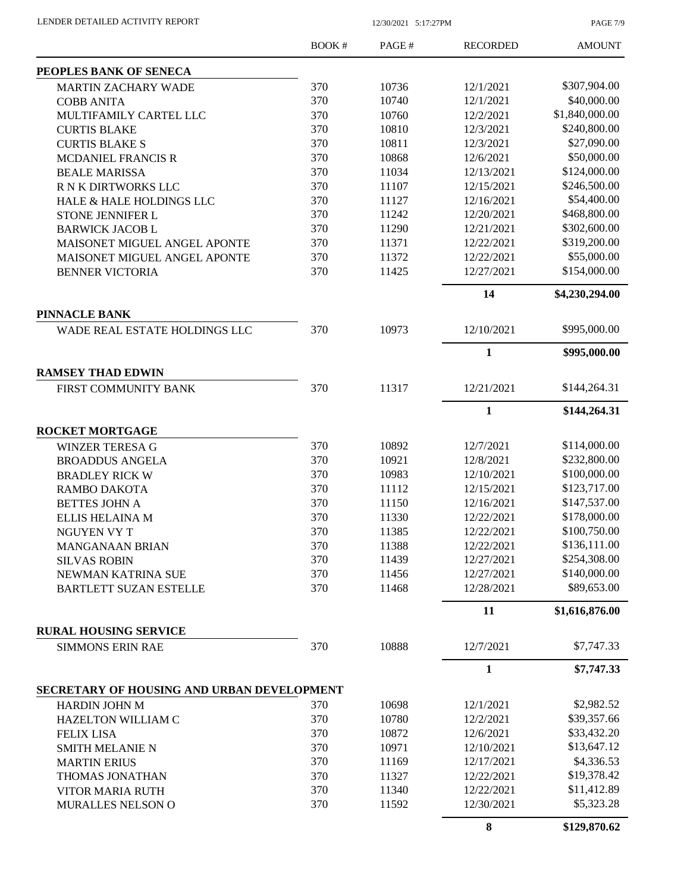| LENDER DETAILED ACTIVITY REPORT |  |
|---------------------------------|--|
|                                 |  |

12/30/2021 5:17:27PM

PAGE 7/9

|                                                         | <b>BOOK#</b> | PAGE# | <b>RECORDED</b> | <b>AMOUNT</b>  |
|---------------------------------------------------------|--------------|-------|-----------------|----------------|
| PEOPLES BANK OF SENECA                                  |              |       |                 |                |
| <b>MARTIN ZACHARY WADE</b>                              | 370          | 10736 | 12/1/2021       | \$307,904.00   |
| <b>COBB ANITA</b>                                       | 370          | 10740 | 12/1/2021       | \$40,000.00    |
| MULTIFAMILY CARTEL LLC                                  | 370          | 10760 | 12/2/2021       | \$1,840,000.00 |
| <b>CURTIS BLAKE</b>                                     | 370          | 10810 | 12/3/2021       | \$240,800.00   |
| <b>CURTIS BLAKE S</b>                                   | 370          | 10811 | 12/3/2021       | \$27,090.00    |
| <b>MCDANIEL FRANCIS R</b>                               | 370          | 10868 | 12/6/2021       | \$50,000.00    |
| <b>BEALE MARISSA</b>                                    | 370          | 11034 | 12/13/2021      | \$124,000.00   |
| R N K DIRTWORKS LLC                                     | 370          | 11107 | 12/15/2021      | \$246,500.00   |
| HALE & HALE HOLDINGS LLC                                | 370          | 11127 | 12/16/2021      | \$54,400.00    |
| <b>STONE JENNIFER L</b>                                 | 370          | 11242 | 12/20/2021      | \$468,800.00   |
| <b>BARWICK JACOB L</b>                                  | 370          | 11290 | 12/21/2021      | \$302,600.00   |
| MAISONET MIGUEL ANGEL APONTE                            | 370          | 11371 | 12/22/2021      | \$319,200.00   |
| MAISONET MIGUEL ANGEL APONTE                            | 370          | 11372 | 12/22/2021      | \$55,000.00    |
| <b>BENNER VICTORIA</b>                                  | 370          | 11425 | 12/27/2021      | \$154,000.00   |
|                                                         |              |       | 14              | \$4,230,294.00 |
| <b>PINNACLE BANK</b>                                    |              |       |                 | \$995,000.00   |
| WADE REAL ESTATE HOLDINGS LLC                           | 370          | 10973 | 12/10/2021      |                |
|                                                         |              |       | $\mathbf{1}$    | \$995,000.00   |
| <b>RAMSEY THAD EDWIN</b>                                |              |       |                 |                |
| FIRST COMMUNITY BANK                                    | 370          | 11317 | 12/21/2021      | \$144,264.31   |
|                                                         |              |       | 1               | \$144,264.31   |
| <b>ROCKET MORTGAGE</b>                                  |              |       |                 |                |
| <b>WINZER TERESA G</b>                                  | 370          | 10892 | 12/7/2021       | \$114,000.00   |
| <b>BROADDUS ANGELA</b>                                  | 370          | 10921 | 12/8/2021       | \$232,800.00   |
| <b>BRADLEY RICK W</b>                                   | 370          | 10983 | 12/10/2021      | \$100,000.00   |
| RAMBO DAKOTA                                            | 370          | 11112 | 12/15/2021      | \$123,717.00   |
| <b>BETTES JOHN A</b>                                    | 370          | 11150 | 12/16/2021      | \$147,537.00   |
| <b>ELLIS HELAINA M</b>                                  | 370          | 11330 | 12/22/2021      | \$178,000.00   |
| NGUYEN VY T                                             | 370          | 11385 | 12/22/2021      | \$100,750.00   |
| <b>MANGANAAN BRIAN</b>                                  | 370          | 11388 | 12/22/2021      | \$136,111.00   |
| <b>SILVAS ROBIN</b>                                     | 370          | 11439 | 12/27/2021      | \$254,308.00   |
| NEWMAN KATRINA SUE                                      | 370          | 11456 | 12/27/2021      | \$140,000.00   |
| <b>BARTLETT SUZAN ESTELLE</b>                           | 370          | 11468 | 12/28/2021      | \$89,653.00    |
|                                                         |              |       | 11              | \$1,616,876.00 |
| <b>RURAL HOUSING SERVICE</b><br><b>SIMMONS ERIN RAE</b> | 370          | 10888 | 12/7/2021       | \$7,747.33     |
|                                                         |              |       |                 |                |
|                                                         |              |       | $\mathbf{1}$    | \$7,747.33     |
| SECRETARY OF HOUSING AND URBAN DEVELOPMENT              |              |       |                 |                |
| <b>HARDIN JOHN M</b>                                    | 370          | 10698 | 12/1/2021       | \$2,982.52     |
| HAZELTON WILLIAM C                                      | 370          | 10780 | 12/2/2021       | \$39,357.66    |
| <b>FELIX LISA</b>                                       | 370          | 10872 | 12/6/2021       | \$33,432.20    |
| <b>SMITH MELANIE N</b>                                  | 370          | 10971 | 12/10/2021      | \$13,647.12    |
| <b>MARTIN ERIUS</b>                                     | 370          | 11169 | 12/17/2021      | \$4,336.53     |
| THOMAS JONATHAN                                         | 370          | 11327 | 12/22/2021      | \$19,378.42    |
| VITOR MARIA RUTH                                        | 370          | 11340 | 12/22/2021      | \$11,412.89    |
| MURALLES NELSON O                                       | 370          | 11592 | 12/30/2021      | \$5,323.28     |
|                                                         |              |       | 8               | \$129,870.62   |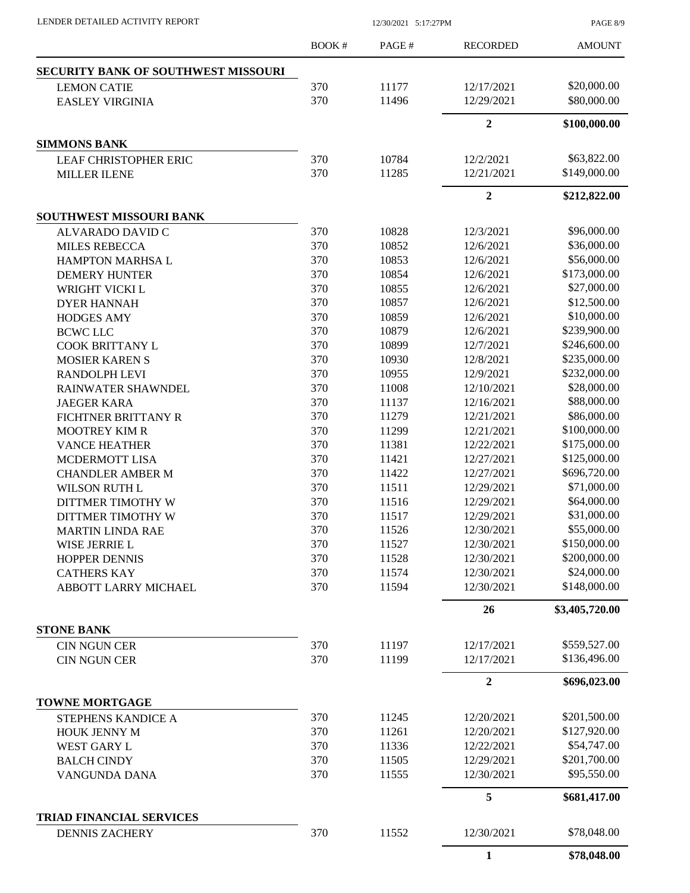| LENDER DETAILED ACTIVITY REPORT |  |
|---------------------------------|--|

12/30/2021 5:17:27PM

PAGE 8/9

|                                            | <b>BOOK#</b> | PAGE# | <b>RECORDED</b> | <b>AMOUNT</b>  |
|--------------------------------------------|--------------|-------|-----------------|----------------|
| <b>SECURITY BANK OF SOUTHWEST MISSOURI</b> |              |       |                 |                |
| <b>LEMON CATIE</b>                         | 370          | 11177 | 12/17/2021      | \$20,000.00    |
| <b>EASLEY VIRGINIA</b>                     | 370          | 11496 | 12/29/2021      | \$80,000.00    |
|                                            |              |       | $\overline{2}$  | \$100,000.00   |
| <b>SIMMONS BANK</b>                        |              |       |                 |                |
| <b>LEAF CHRISTOPHER ERIC</b>               | 370          | 10784 | 12/2/2021       | \$63,822.00    |
| <b>MILLER ILENE</b>                        | 370          | 11285 | 12/21/2021      | \$149,000.00   |
|                                            |              |       | $\overline{2}$  | \$212,822.00   |
| SOUTHWEST MISSOURI BANK                    |              |       |                 |                |
| ALVARADO DAVID C                           | 370          | 10828 | 12/3/2021       | \$96,000.00    |
| <b>MILES REBECCA</b>                       | 370          | 10852 | 12/6/2021       | \$36,000.00    |
| HAMPTON MARHSA L                           | 370          | 10853 | 12/6/2021       | \$56,000.00    |
| <b>DEMERY HUNTER</b>                       | 370          | 10854 | 12/6/2021       | \$173,000.00   |
| WRIGHT VICKI L                             | 370          | 10855 | 12/6/2021       | \$27,000.00    |
| <b>DYER HANNAH</b>                         | 370          | 10857 | 12/6/2021       | \$12,500.00    |
|                                            |              |       |                 | \$10,000.00    |
| <b>HODGES AMY</b>                          | 370          | 10859 | 12/6/2021       |                |
| <b>BCWC LLC</b>                            | 370          | 10879 | 12/6/2021       | \$239,900.00   |
| <b>COOK BRITTANY L</b>                     | 370          | 10899 | 12/7/2021       | \$246,600.00   |
| <b>MOSIER KAREN S</b>                      | 370          | 10930 | 12/8/2021       | \$235,000.00   |
| <b>RANDOLPH LEVI</b>                       | 370          | 10955 | 12/9/2021       | \$232,000.00   |
| RAINWATER SHAWNDEL                         | 370          | 11008 | 12/10/2021      | \$28,000.00    |
| <b>JAEGER KARA</b>                         | 370          | 11137 | 12/16/2021      | \$88,000.00    |
| FICHTNER BRITTANY R                        | 370          | 11279 | 12/21/2021      | \$86,000.00    |
| <b>MOOTREY KIM R</b>                       | 370          | 11299 | 12/21/2021      | \$100,000.00   |
| <b>VANCE HEATHER</b>                       | 370          | 11381 | 12/22/2021      | \$175,000.00   |
| MCDERMOTT LISA                             | 370          | 11421 | 12/27/2021      | \$125,000.00   |
|                                            | 370          | 11422 | 12/27/2021      | \$696,720.00   |
| <b>CHANDLER AMBER M</b>                    |              |       |                 |                |
| WILSON RUTH L                              | 370          | 11511 | 12/29/2021      | \$71,000.00    |
| DITTMER TIMOTHY W                          | 370          | 11516 | 12/29/2021      | \$64,000.00    |
| DITTMER TIMOTHY W                          | 370          | 11517 | 12/29/2021      | \$31,000.00    |
| <b>MARTIN LINDA RAE</b>                    | 370          | 11526 | 12/30/2021      | \$55,000.00    |
| WISE JERRIE L                              | 370          | 11527 | 12/30/2021      | \$150,000.00   |
| <b>HOPPER DENNIS</b>                       | 370          | 11528 | 12/30/2021      | \$200,000.00   |
| <b>CATHERS KAY</b>                         | 370          | 11574 | 12/30/2021      | \$24,000.00    |
| ABBOTT LARRY MICHAEL                       | 370          | 11594 | 12/30/2021      | \$148,000.00   |
|                                            |              |       | 26              | \$3,405,720.00 |
| <b>STONE BANK</b>                          |              |       |                 |                |
| <b>CIN NGUN CER</b>                        | 370          | 11197 | 12/17/2021      | \$559,527.00   |
| <b>CIN NGUN CER</b>                        | 370          | 11199 | 12/17/2021      | \$136,496.00   |
|                                            |              |       | $\overline{2}$  | \$696,023.00   |
| <b>TOWNE MORTGAGE</b>                      |              |       |                 |                |
| STEPHENS KANDICE A                         | 370          | 11245 | 12/20/2021      | \$201,500.00   |
| <b>HOUK JENNY M</b>                        | 370          | 11261 | 12/20/2021      | \$127,920.00   |
| WEST GARY L                                | 370          | 11336 | 12/22/2021      | \$54,747.00    |
| <b>BALCH CINDY</b>                         | 370          | 11505 | 12/29/2021      | \$201,700.00   |
| VANGUNDA DANA                              | 370          | 11555 | 12/30/2021      | \$95,550.00    |
|                                            |              |       | 5               | \$681,417.00   |
| <b>TRIAD FINANCIAL SERVICES</b>            |              |       |                 |                |
| <b>DENNIS ZACHERY</b>                      | 370          | 11552 | 12/30/2021      | \$78,048.00    |
|                                            |              |       | 1               | \$78,048.00    |